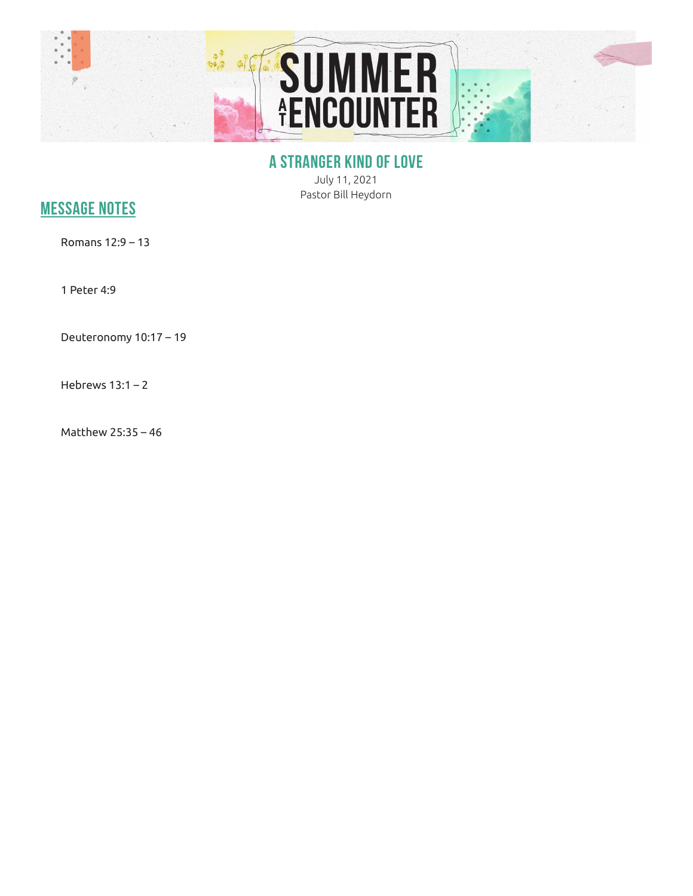

## **A STRANGER KIND OF LOVE**

July 11, 2021 Pastor Bill Heydorn

## **MESSAGE NOTES**

Romans 12:9 – 13

1 Peter 4:9

Deuteronomy 10:17 – 19

Hebrews 13:1 – 2

Matthew 25:35 – 46